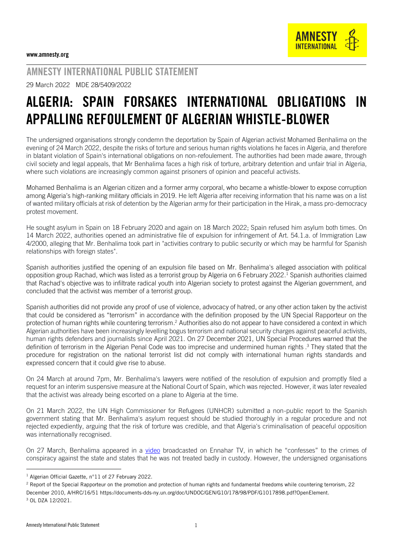

## AMNESTY INTERNATIONAL PUBLIC STATEMENT

29 March 2022 MDE 28/5409/2022

## ALGERIA: SPAIN FORSAKES INTERNATIONAL OBLIGATIONS IN APPALLING REFOULEMENT OF ALGERIAN WHISTLE-BLOWER

The undersigned organisations strongly condemn the deportation by Spain of Algerian activist Mohamed Benhalima on the evening of 24 March 2022, despite the risks of torture and serious human rights violations he faces in Algeria, and therefore in blatant violation of Spain's international obligations on non-refoulement. The authorities had been made aware, through civil society and legal appeals, that Mr Benhalima faces a high risk of torture, arbitrary detention and unfair trial in Algeria, where such violations are increasingly common against prisoners of opinion and peaceful activists.

Mohamed Benhalima is an Algerian citizen and a former army corporal, who became a whistle-blower to expose corruption among Algeria's high-ranking military officials in 2019. He left Algeria after receiving information that his name was on a list of wanted military officials at risk of detention by the Algerian army for their participation in the Hirak, a mass pro-democracy protest movement.

He sought asylum in Spain on 18 February 2020 and again on 18 March 2022; Spain refused him asylum both times. On 14 March 2022, authorities opened an administrative file of expulsion for infringement of Art. 54.1.a. of Immigration Law 4/2000, alleging that Mr. Benhalima took part in "activities contrary to public security or which may be harmful for Spanish relationships with foreign states".

Spanish authorities justified the opening of an expulsion file based on Mr. Benhalima's alleged association with political opposition group Rachad, which was listed as a terrorist group by Algeria on 6 February 2022. <sup>1</sup> Spanish authorities claimed that Rachad's objective was to infiltrate radical youth into Algerian society to protest against the Algerian government, and concluded that the activist was member of a terrorist group.

Spanish authorities did not provide any proof of use of violence, advocacy of hatred, or any other action taken by the activist that could be considered as "terrorism" in accordance with the definition proposed by the UN Special Rapporteur on the protection of human rights while countering terrorism.<sup>2</sup> Authorities also do not appear to have considered a context in which Algerian authorities have been increasingly levelling bogus terrorism and national security charges against peaceful activists, human rights defenders and journalists since April 2021. On 27 December 2021, UN Special Procedures warned that the definition of terrorism in the Algerian Penal Code was too imprecise and undermined human rights .<sup>3</sup> They stated that the procedure for registration on the national terrorist list did not comply with international human rights standards and expressed concern that it could give rise to abuse.

On 24 March at around 7pm, Mr. Benhalima's lawyers were notified of the resolution of expulsion and promptly filed a request for an interim suspensive measure at the National Court of Spain, which was rejected. However, it was later revealed that the activist was already being escorted on a plane to Algeria at the time.

On 21 March 2022, the UN High Commissioner for Refugees (UNHCR) submitted a non-public report to the Spanish government stating that Mr. Benhalima's asylum request should be studied thoroughly in a regular procedure and not rejected expediently, arguing that the risk of torture was credible, and that Algeria's criminalisation of peaceful opposition was internationally recognised.

On 27 March, Benhalima appeared in a [video](https://www.youtube.com/watch?v=6Ku_lCPju_g) broadcasted on Ennahar TV, in which he "confesses" to the crimes of conspiracy against the state and states that he was not treated badly in custody. However, the undersigned organisations

-

<sup>1</sup> Algerian Official Gazette, n°11 of 27 February 2022.

<sup>&</sup>lt;sup>2</sup> Report of the Special Rapporteur on the promotion and protection of human rights and fundamental freedoms while countering terrorism, 22 December 2010, A/HRC/16/51 https://documents-dds-ny.un.org/doc/UNDOC/GEN/G10/178/98/PDF/G1017898.pdf?OpenElement. <sup>3</sup> OL DZA 12/2021.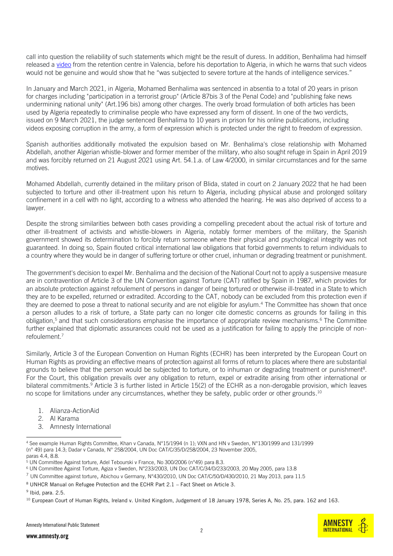call into question the reliability of such statements which might be the result of duress. In addition, Benhalima had himself released [a video](https://www.facebook.com/watch/?v=305188648383468&extid=NS-UNK-UNK-UNK-AN_GK0T-GK1C&ref=sharing) from the retention centre in Valencia, before his deportation to Algeria, in which he warns that such videos would not be genuine and would show that he "was subjected to severe torture at the hands of intelligence services."

In January and March 2021, in Algeria, Mohamed Benhalima was sentenced in absentia to a total of 20 years in prison for charges including "participation in a terrorist group" (Article 87bis 3 of the Penal Code) and "publishing fake news undermining national unity" (Art.196 bis) among other charges. The overly broad formulation of both articles has been used by Algeria repeatedly to criminalise people who have expressed any form of dissent. In one of the two verdicts, issued on 9 March 2021, the judge sentenced Benhalima to 10 years in prison for his online publications, including videos exposing corruption in the army, a form of expression which is protected under the right to freedom of expression.

Spanish authorities additionally motivated the expulsion based on Mr. Benhalima's close relationship with Mohamed Abdellah, another Algerian whistle-blower and former member of the military, who also sought refuge in Spain in April 2019 and was forcibly returned on 21 August 2021 using Art. 54.1.a. of Law 4/2000, in similar circumstances and for the same motives.

Mohamed Abdellah, currently detained in the military prison of Blida, stated in court on 2 January 2022 that he had been subjected to torture and other ill-treatment upon his return to Algeria, including physical abuse and prolonged solitary confinement in a cell with no light, according to a witness who attended the hearing. He was also deprived of access to a lawyer.

Despite the strong similarities between both cases providing a compelling precedent about the actual risk of torture and other ill-treatment of activists and whistle-blowers in Algeria, notably former members of the military, the Spanish government showed its determination to forcibly return someone where their physical and psychological integrity was not guaranteed. In doing so, Spain flouted critical international law obligations that forbid governments to return individuals to a country where they would be in danger of suffering torture or other cruel, inhuman or degrading treatment or punishment.

The government's decision to expel Mr. Benhalima and the decision of the National Court not to apply a suspensive measure are in contravention of Article 3 of the UN Convention against Torture (CAT) ratified by Spain in 1987, which provides for an absolute protection against refoulement of persons in danger of being tortured or otherwise ill-treated in a State to which they are to be expelled, returned or extradited. According to the CAT, nobody can be excluded from this protection even if they are deemed to pose a threat to national security and are not eligible for asylum. <sup>4</sup> The Committee has shown that once a person alludes to a risk of torture, a State party can no longer cite domestic concerns as grounds for failing in this obligation,<sup>5</sup> and that such considerations emphasise the importance of appropriate review mechanisms.<sup>6</sup> The Committee further explained that diplomatic assurances could not be used as a justification for failing to apply the principle of nonrefoulement. 7

Similarly, Article 3 of the European Convention on Human Rights (ECHR) has been interpreted by the European Court on Human Rights as providing an effective means of protection against all forms of return to places where there are substantial grounds to believe that the person would be subjected to torture, or to inhuman or degrading treatment or punishment<sup>8</sup>. For the Court, this obligation prevails over any obligation to return, expel or extradite arising from other international or bilateral commitments.<sup>9</sup> Article 3 is further listed in Article 15(2) of the ECHR as a non-derogable provision, which leaves no scope for limitations under any circumstances, whether they be safety, public order or other grounds.<sup>10</sup>

- 1. Alianza-ActionAid
- 2. Al Karama
- 3. Amnesty International

<sup>9</sup> Ibid, para. 2.5.

**AMNEST INTERNATIONAL** 

j <sup>4</sup> See example Human Rights Committee, Khan v Canada, N°15/1994 (n 1); VXN and HN v Sweden, N°130/1999 and 131/1999 (n° 49) para 14.3; Dadar v Canada, N° 258/2004, UN Doc CAT/C/35/D/258/2004, 23 November 2005, paras 4.4, 8.8.

<sup>&</sup>lt;sup>5</sup> UN Committee Against torture, Adel Tebourski v France, No 300/2006 (n°49) para 8.3.

<sup>6</sup> UN Committee Against Torture, Agiza v Sweden, N°233/2003, UN Doc CAT/C/34/D/233/2003, 20 May 2005, para 13.8

 $^7$  UN Committee against torture, Abichou v Germany, N°430/2010, UN Doc CAT/C/50/D/430/2010, 21 May 2013, para 11.5

<sup>8</sup> UNHCR Manual on Refugee Protection and the ECHR Part 2.1 – Fact Sheet on Article 3.

<sup>&</sup>lt;sup>10</sup> European Court of Human Rights, Ireland v. United Kingdom, Judgement of 18 January 1978, Series A, No. 25, para. 162 and 163.